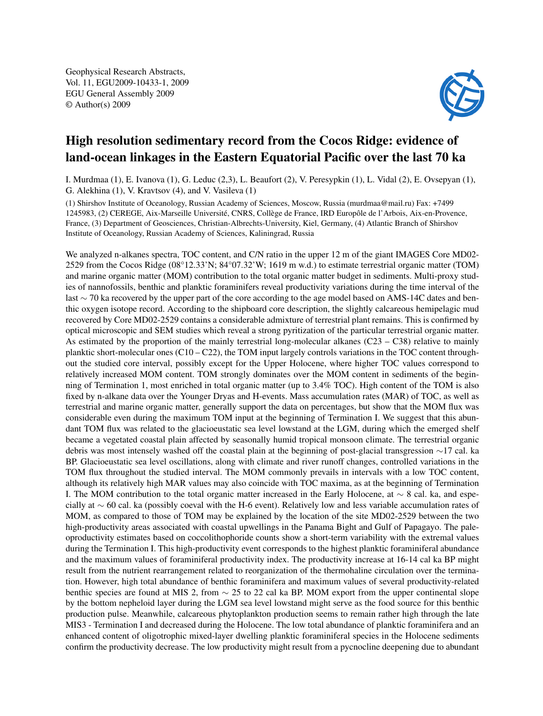Geophysical Research Abstracts, Vol. 11, EGU2009-10433-1, 2009 EGU General Assembly 2009 © Author(s) 2009



## High resolution sedimentary record from the Cocos Ridge: evidence of land-ocean linkages in the Eastern Equatorial Pacific over the last 70 ka

I. Murdmaa (1), E. Ivanova (1), G. Leduc (2,3), L. Beaufort (2), V. Peresypkin (1), L. Vidal (2), E. Ovsepyan (1), G. Alekhina (1), V. Kravtsov (4), and V. Vasileva (1)

(1) Shirshov Institute of Oceanology, Russian Academy of Sciences, Moscow, Russia (murdmaa@mail.ru) Fax: +7499 1245983, (2) CEREGE, Aix-Marseille Université, CNRS, Collège de France, IRD Europôle de l'Arbois, Aix-en-Provence, France, (3) Department of Geosciences, Christian-Albrechts-University, Kiel, Germany, (4) Atlantic Branch of Shirshov Institute of Oceanology, Russian Academy of Sciences, Kaliningrad, Russia

We analyzed n-alkanes spectra, TOC content, and C/N ratio in the upper 12 m of the giant IMAGES Core MD02-2529 from the Cocos Ridge (08°12.33'N; 84°07.32'W; 1619 m w.d.) to estimate terrestrial organic matter (TOM) and marine organic matter (MOM) contribution to the total organic matter budget in sediments. Multi-proxy studies of nannofossils, benthic and planktic foraminifers reveal productivity variations during the time interval of the last ∼ 70 ka recovered by the upper part of the core according to the age model based on AMS-14C dates and benthic oxygen isotope record. According to the shipboard core description, the slightly calcareous hemipelagic mud recovered by Core MD02-2529 contains a considerable admixture of terrestrial plant remains. This is confirmed by optical microscopic and SEM studies which reveal a strong pyritization of the particular terrestrial organic matter. As estimated by the proportion of the mainly terrestrial long-molecular alkanes  $(C23 - C38)$  relative to mainly planktic short-molecular ones  $(C10 - C22)$ , the TOM input largely controls variations in the TOC content throughout the studied core interval, possibly except for the Upper Holocene, where higher TOC values correspond to relatively increased MOM content. TOM strongly dominates over the MOM content in sediments of the beginning of Termination 1, most enriched in total organic matter (up to 3.4% TOC). High content of the TOM is also fixed by n-alkane data over the Younger Dryas and H-events. Mass accumulation rates (MAR) of TOC, as well as terrestrial and marine organic matter, generally support the data on percentages, but show that the MOM flux was considerable even during the maximum TOM input at the beginning of Termination I. We suggest that this abundant TOM flux was related to the glacioeustatic sea level lowstand at the LGM, during which the emerged shelf became a vegetated coastal plain affected by seasonally humid tropical monsoon climate. The terrestrial organic debris was most intensely washed off the coastal plain at the beginning of post-glacial transgression ∼17 cal. ka BP. Glacioeustatic sea level oscillations, along with climate and river runoff changes, controlled variations in the TOM flux throughout the studied interval. The MOM commonly prevails in intervals with a low TOC content, although its relatively high MAR values may also coincide with TOC maxima, as at the beginning of Termination I. The MOM contribution to the total organic matter increased in the Early Holocene, at ∼ 8 cal. ka, and especially at ∼ 60 cal. ka (possibly coeval with the H-6 event). Relatively low and less variable accumulation rates of MOM, as compared to those of TOM may be explained by the location of the site MD02-2529 between the two high-productivity areas associated with coastal upwellings in the Panama Bight and Gulf of Papagayo. The paleoproductivity estimates based on coccolithophoride counts show a short-term variability with the extremal values during the Termination I. This high-productivity event corresponds to the highest planktic foraminiferal abundance and the maximum values of foraminiferal productivity index. The productivity increase at 16-14 cal ka BP might result from the nutrient rearrangement related to reorganization of the thermohaline circulation over the termination. However, high total abundance of benthic foraminifera and maximum values of several productivity-related benthic species are found at MIS 2, from ∼ 25 to 22 cal ka BP. MOM export from the upper continental slope by the bottom nepheloid layer during the LGM sea level lowstand might serve as the food source for this benthic production pulse. Meanwhile, calcareous phytoplankton production seems to remain rather high through the late MIS3 - Termination I and decreased during the Holocene. The low total abundance of planktic foraminifera and an enhanced content of oligotrophic mixed-layer dwelling planktic foraminiferal species in the Holocene sediments confirm the productivity decrease. The low productivity might result from a pycnocline deepening due to abundant